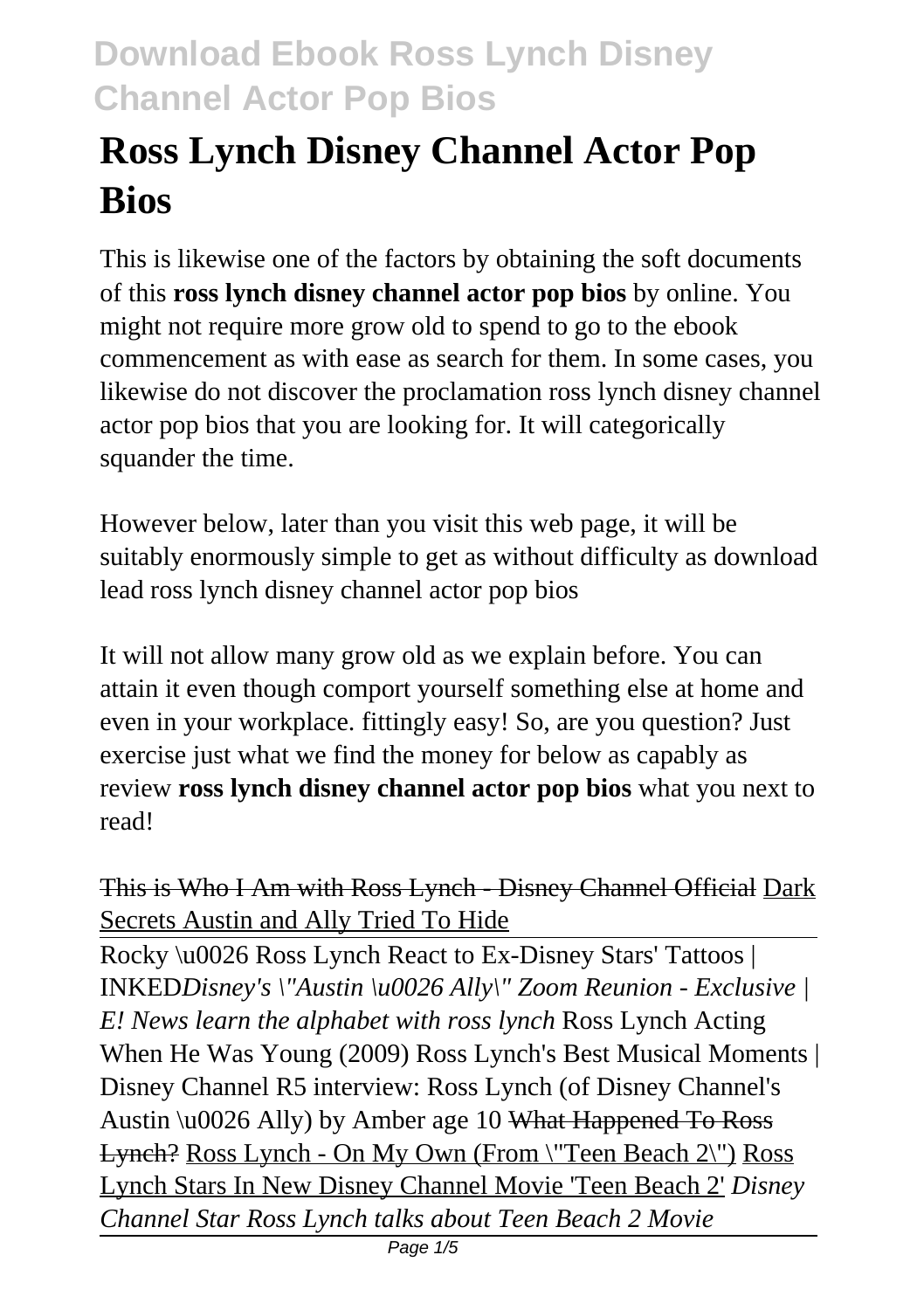# **Ross Lynch Disney Channel Actor Pop Bios**

This is likewise one of the factors by obtaining the soft documents of this **ross lynch disney channel actor pop bios** by online. You might not require more grow old to spend to go to the ebook commencement as with ease as search for them. In some cases, you likewise do not discover the proclamation ross lynch disney channel actor pop bios that you are looking for. It will categorically squander the time.

However below, later than you visit this web page, it will be suitably enormously simple to get as without difficulty as download lead ross lynch disney channel actor pop bios

It will not allow many grow old as we explain before. You can attain it even though comport yourself something else at home and even in your workplace. fittingly easy! So, are you question? Just exercise just what we find the money for below as capably as review **ross lynch disney channel actor pop bios** what you next to read!

This is Who I Am with Ross Lynch - Disney Channel Official Dark Secrets Austin and Ally Tried To Hide

Rocky \u0026 Ross Lynch React to Ex-Disney Stars' Tattoos | INKED*Disney's \"Austin \u0026 Ally\" Zoom Reunion - Exclusive | E! News learn the alphabet with ross lynch* Ross Lynch Acting When He Was Young (2009) Ross Lynch's Best Musical Moments | Disney Channel R5 interview: Ross Lynch (of Disney Channel's Austin \u0026 Ally) by Amber age 10 What Happened To Ross Lynch? Ross Lynch - On My Own (From \"Teen Beach 2\") Ross Lynch Stars In New Disney Channel Movie 'Teen Beach 2' *Disney Channel Star Ross Lynch talks about Teen Beach 2 Movie*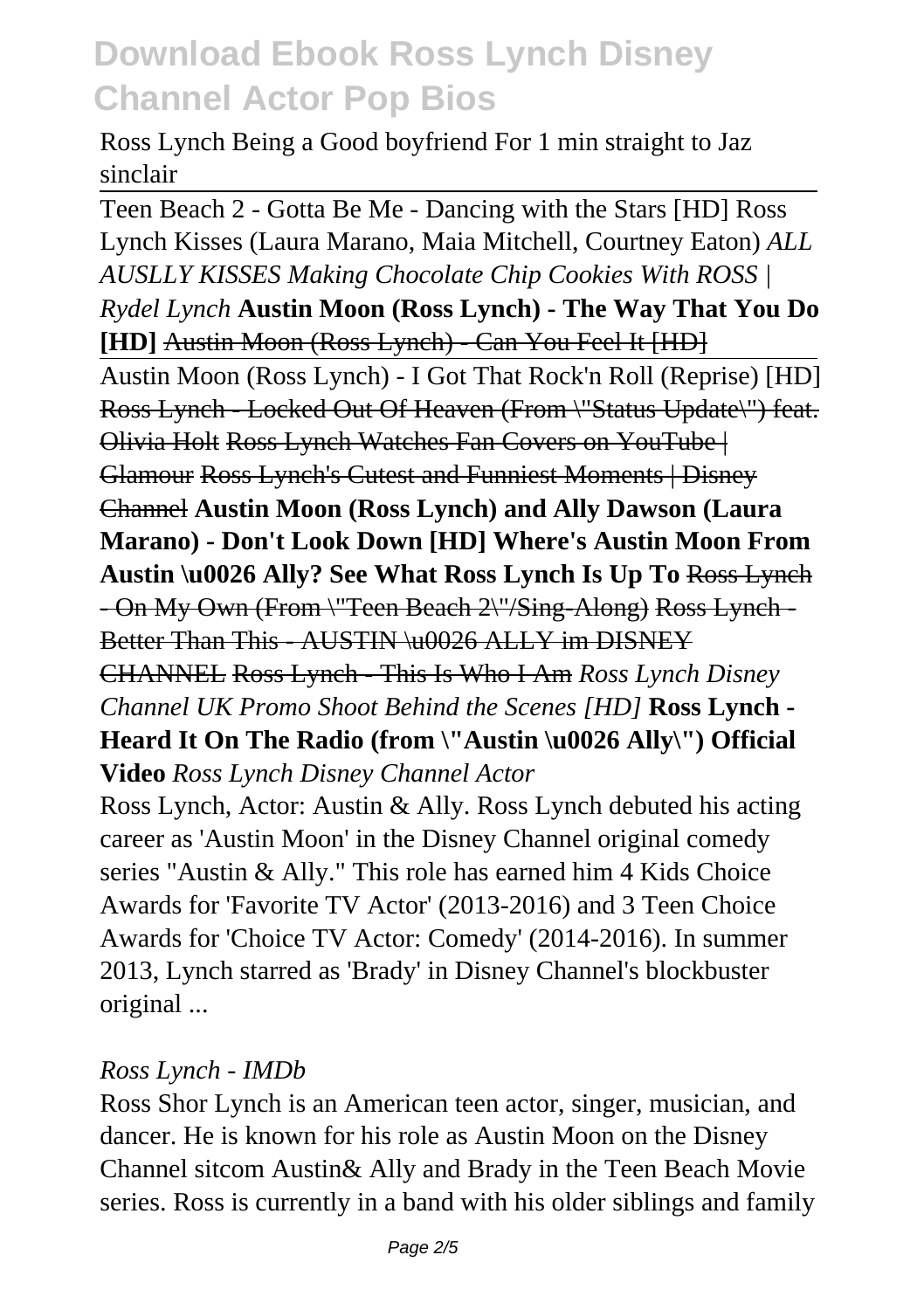Ross Lynch Being a Good boyfriend For 1 min straight to Jaz sinclair

Teen Beach 2 - Gotta Be Me - Dancing with the Stars [HD] Ross Lynch Kisses (Laura Marano, Maia Mitchell, Courtney Eaton) *ALL AUSLLY KISSES Making Chocolate Chip Cookies With ROSS | Rydel Lynch* **Austin Moon (Ross Lynch) - The Way That You Do** [HD] Austin Moon (Ross Lynch) - Can You Feel It [HD] Austin Moon (Ross Lynch) - I Got That Rock'n Roll (Reprise) [HD] Ross Lynch - Locked Out Of Heaven (From \"Status Update\") feat. Olivia Holt Ross Lynch Watches Fan Covers on YouTube | Glamour Ross Lynch's Cutest and Funniest Moments | Disney Channel **Austin Moon (Ross Lynch) and Ally Dawson (Laura Marano) - Don't Look Down [HD] Where's Austin Moon From Austin \u0026 Ally? See What Ross Lynch Is Up To** Ross Lynch - On My Own (From \"Teen Beach 2\"/Sing-Along) Ross Lynch - Better Than This - AUSTIN \u0026 ALLY im DISNEY CHANNEL Ross Lynch - This Is Who I Am *Ross Lynch Disney Channel UK Promo Shoot Behind the Scenes [HD]* **Ross Lynch - Heard It On The Radio (from \"Austin \u0026 Ally\") Official Video** *Ross Lynch Disney Channel Actor* Ross Lynch, Actor: Austin & Ally. Ross Lynch debuted his acting

career as 'Austin Moon' in the Disney Channel original comedy series "Austin & Ally." This role has earned him 4 Kids Choice Awards for 'Favorite TV Actor' (2013-2016) and 3 Teen Choice Awards for 'Choice TV Actor: Comedy' (2014-2016). In summer 2013, Lynch starred as 'Brady' in Disney Channel's blockbuster original ...

#### *Ross Lynch - IMDb*

Ross Shor Lynch is an American teen actor, singer, musician, and dancer. He is known for his role as Austin Moon on the Disney Channel sitcom Austin& Ally and Brady in the Teen Beach Movie series. Ross is currently in a band with his older siblings and family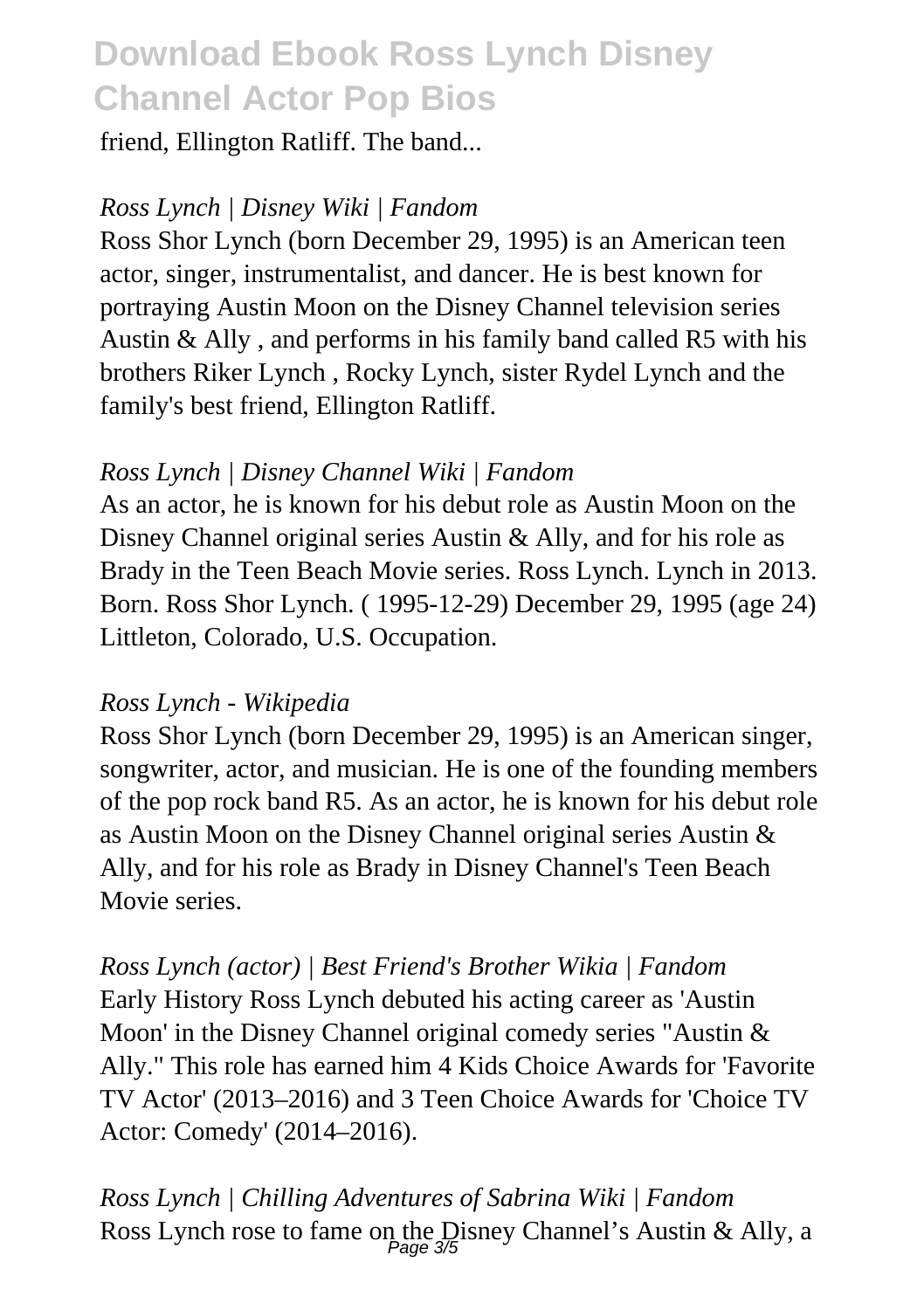friend, Ellington Ratliff. The band...

#### *Ross Lynch | Disney Wiki | Fandom*

Ross Shor Lynch (born December 29, 1995) is an American teen actor, singer, instrumentalist, and dancer. He is best known for portraying Austin Moon on the Disney Channel television series Austin & Ally , and performs in his family band called R5 with his brothers Riker Lynch , Rocky Lynch, sister Rydel Lynch and the family's best friend, Ellington Ratliff.

#### *Ross Lynch | Disney Channel Wiki | Fandom*

As an actor, he is known for his debut role as Austin Moon on the Disney Channel original series Austin & Ally, and for his role as Brady in the Teen Beach Movie series. Ross Lynch. Lynch in 2013. Born. Ross Shor Lynch. ( 1995-12-29) December 29, 1995 (age 24) Littleton, Colorado, U.S. Occupation.

#### *Ross Lynch - Wikipedia*

Ross Shor Lynch (born December 29, 1995) is an American singer, songwriter, actor, and musician. He is one of the founding members of the pop rock band R5. As an actor, he is known for his debut role as Austin Moon on the Disney Channel original series Austin & Ally, and for his role as Brady in Disney Channel's Teen Beach Movie series.

*Ross Lynch (actor) | Best Friend's Brother Wikia | Fandom* Early History Ross Lynch debuted his acting career as 'Austin Moon' in the Disney Channel original comedy series "Austin & Ally." This role has earned him 4 Kids Choice Awards for 'Favorite TV Actor' (2013–2016) and 3 Teen Choice Awards for 'Choice TV Actor: Comedy' (2014–2016).

*Ross Lynch | Chilling Adventures of Sabrina Wiki | Fandom* Ross Lynch rose to fame on the Disney Channel's Austin & Ally, a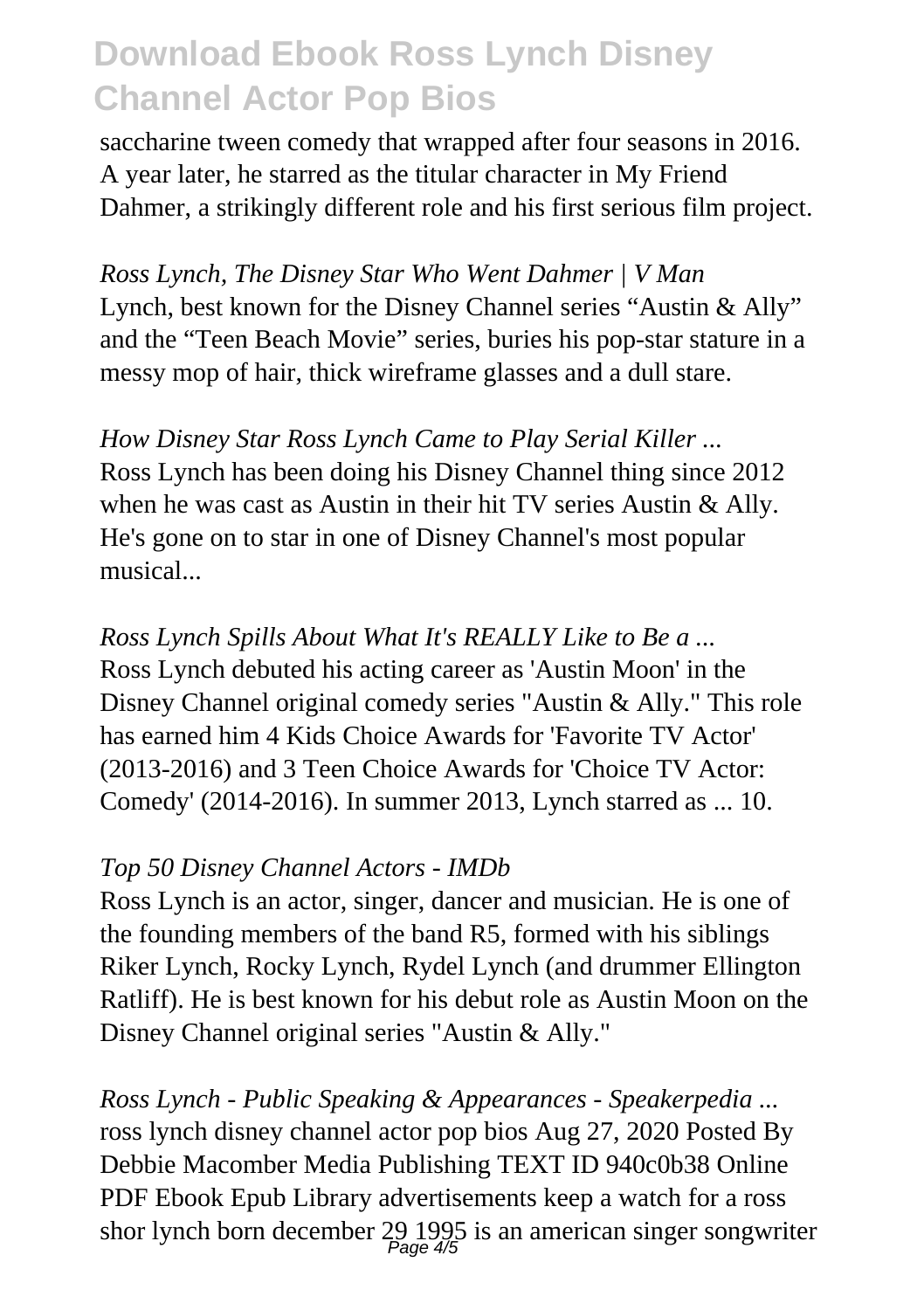saccharine tween comedy that wrapped after four seasons in 2016. A year later, he starred as the titular character in My Friend Dahmer, a strikingly different role and his first serious film project.

*Ross Lynch, The Disney Star Who Went Dahmer | V Man* Lynch, best known for the Disney Channel series "Austin & Ally" and the "Teen Beach Movie" series, buries his pop-star stature in a messy mop of hair, thick wireframe glasses and a dull stare.

*How Disney Star Ross Lynch Came to Play Serial Killer ...* Ross Lynch has been doing his Disney Channel thing since 2012 when he was cast as Austin in their hit TV series Austin & Ally. He's gone on to star in one of Disney Channel's most popular musical...

*Ross Lynch Spills About What It's REALLY Like to Be a ...* Ross Lynch debuted his acting career as 'Austin Moon' in the Disney Channel original comedy series "Austin & Ally." This role has earned him 4 Kids Choice Awards for 'Favorite TV Actor' (2013-2016) and 3 Teen Choice Awards for 'Choice TV Actor: Comedy' (2014-2016). In summer 2013, Lynch starred as ... 10.

#### *Top 50 Disney Channel Actors - IMDb*

Ross Lynch is an actor, singer, dancer and musician. He is one of the founding members of the band R5, formed with his siblings Riker Lynch, Rocky Lynch, Rydel Lynch (and drummer Ellington Ratliff). He is best known for his debut role as Austin Moon on the Disney Channel original series "Austin & Ally."

*Ross Lynch - Public Speaking & Appearances - Speakerpedia ...* ross lynch disney channel actor pop bios Aug 27, 2020 Posted By Debbie Macomber Media Publishing TEXT ID 940c0b38 Online PDF Ebook Epub Library advertisements keep a watch for a ross shor lynch born december 29 1995 is an american singer songwriter